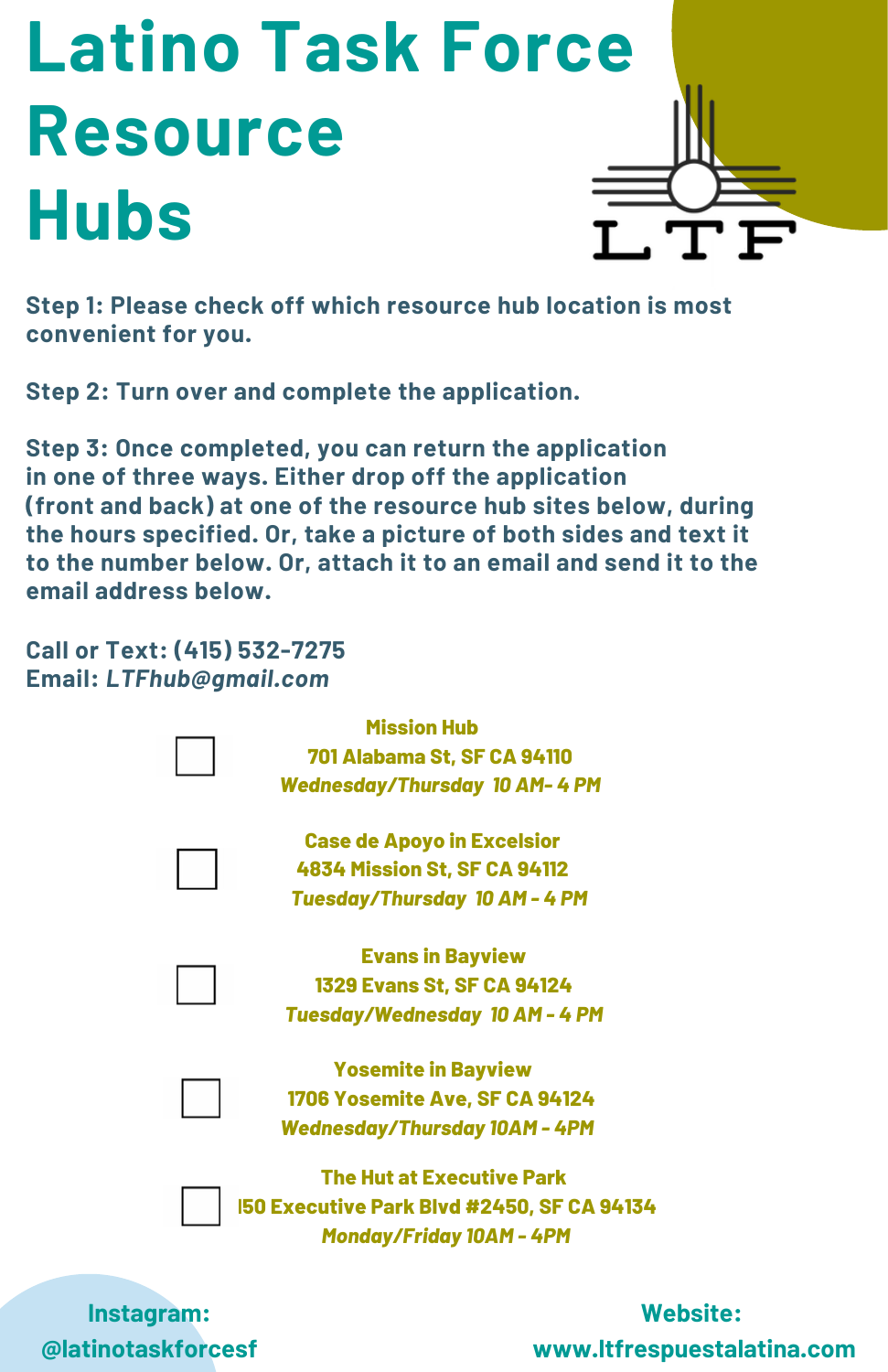## **Latino Task Force Resource Hubs**



**Step 1: Please check off which resource hub location is most convenient for you.**

**Step 2: Turn over and complete the application.**

**Step 3: Once completed, you can return the application in one of three ways. Either drop off the application (front and back) at one of the resource hub sites below, during the hours specified. Or, take a picture of both sides and text it to the number below. Or, attach it to an email and send it to the email address below.**

**Call or Text: (415) 532-7275 Email:** *LTFhub@gmail.com*



**Instagram: @latinotaskforcesf**

## **Website: www.ltfrespuestalatina.com**